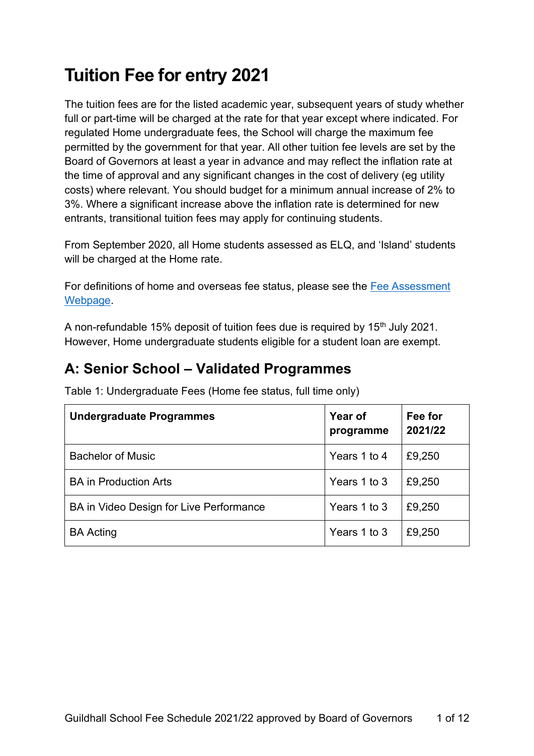# **Tuition Fee for entry 2021**

The tuition fees are for the listed academic year, subsequent years of study whether full or part-time will be charged at the rate for that year except where indicated. For regulated Home undergraduate fees, the School will charge the maximum fee permitted by the government for that year. All other tuition fee levels are set by the Board of Governors at least a year in advance and may reflect the inflation rate at the time of approval and any significant changes in the cost of delivery (eg utility costs) where relevant. You should budget for a minimum annual increase of 2% to 3%. Where a significant increase above the inflation rate is determined for new entrants, transitional tuition fees may apply for continuing students.

From September 2020, all Home students assessed as ELQ, and 'Island' students will be charged at the Home rate.

For definitions of home and overseas fee status, please see the [Fee Assessment](https://www.gsmd.ac.uk/about_the_school/shared_left_nav/fees_and_funding/fee_assessment/)  [Webpage.](https://www.gsmd.ac.uk/about_the_school/shared_left_nav/fees_and_funding/fee_assessment/)

A non-refundable 15% deposit of tuition fees due is required by 15<sup>th</sup> July 2021. However, Home undergraduate students eligible for a student loan are exempt.

### **A: Senior School – Validated Programmes**

| <b>Undergraduate Programmes</b>         | Year of<br>programme | Fee for<br>2021/22 |
|-----------------------------------------|----------------------|--------------------|
| <b>Bachelor of Music</b>                | Years 1 to 4         | £9,250             |
| <b>BA in Production Arts</b>            | Years 1 to 3         | £9,250             |
| BA in Video Design for Live Performance | Years 1 to 3         | £9,250             |
| <b>BA Acting</b>                        | Years 1 to 3         | £9,250             |

Table 1: Undergraduate Fees (Home fee status, full time only)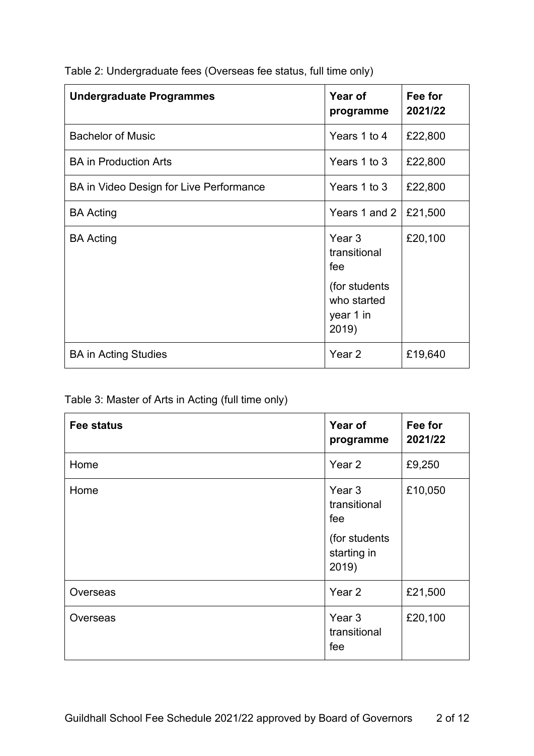| Table 2: Undergraduate fees (Overseas fee status, full time only) |
|-------------------------------------------------------------------|
|                                                                   |

| <b>Undergraduate Programmes</b>         | Year of<br>programme                                                        | Fee for<br>2021/22 |
|-----------------------------------------|-----------------------------------------------------------------------------|--------------------|
| <b>Bachelor of Music</b>                | Years 1 to 4                                                                | £22,800            |
| <b>BA in Production Arts</b>            | Years 1 to 3                                                                | £22,800            |
| BA in Video Design for Live Performance | Years 1 to 3                                                                | £22,800            |
| <b>BA Acting</b>                        | Years 1 and 2                                                               | £21,500            |
| <b>BA Acting</b>                        | Year 3<br>transitional<br>fee<br>(for students)<br>who started<br>year 1 in | £20,100            |
|                                         | 2019)                                                                       |                    |
| <b>BA in Acting Studies</b>             | Year 2                                                                      | £19,640            |

### Table 3: Master of Arts in Acting (full time only)

| <b>Fee status</b> | Year of<br>programme                     | Fee for<br>2021/22 |
|-------------------|------------------------------------------|--------------------|
| Home              | Year 2                                   | £9,250             |
| Home              | Year <sub>3</sub><br>transitional<br>fee | £10,050            |
|                   | (for students<br>starting in<br>2019)    |                    |
| Overseas          | Year 2                                   | £21,500            |
| Overseas          | Year <sub>3</sub><br>transitional<br>fee | £20,100            |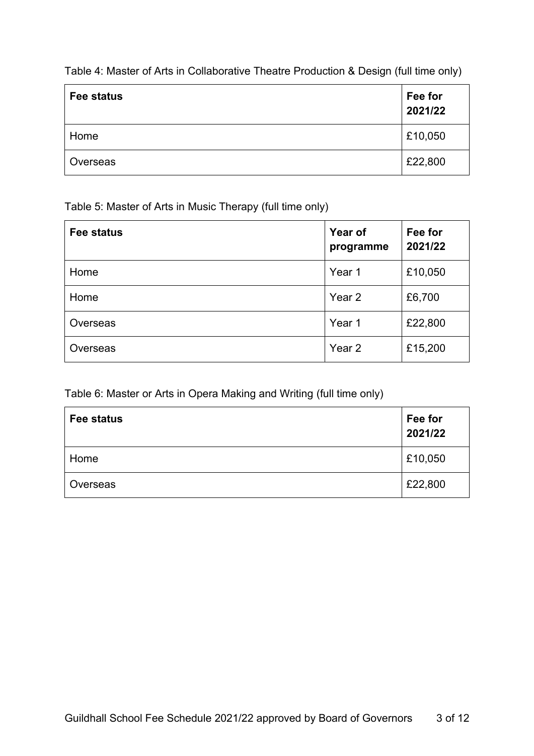Table 4: Master of Arts in Collaborative Theatre Production & Design (full time only)

| Fee status | Fee for<br>2021/22 |
|------------|--------------------|
| Home       | £10,050            |
| Overseas   | £22,800            |

Table 5: Master of Arts in Music Therapy (full time only)

| <b>Fee status</b> | Year of<br>programme | Fee for<br>2021/22 |
|-------------------|----------------------|--------------------|
| Home              | Year 1               | £10,050            |
| Home              | Year 2               | £6,700             |
| Overseas          | Year 1               | £22,800            |
| Overseas          | Year <sub>2</sub>    | £15,200            |

Table 6: Master or Arts in Opera Making and Writing (full time only)

| Fee status | Fee for<br>2021/22 |
|------------|--------------------|
| Home       | £10,050            |
| Overseas   | £22,800            |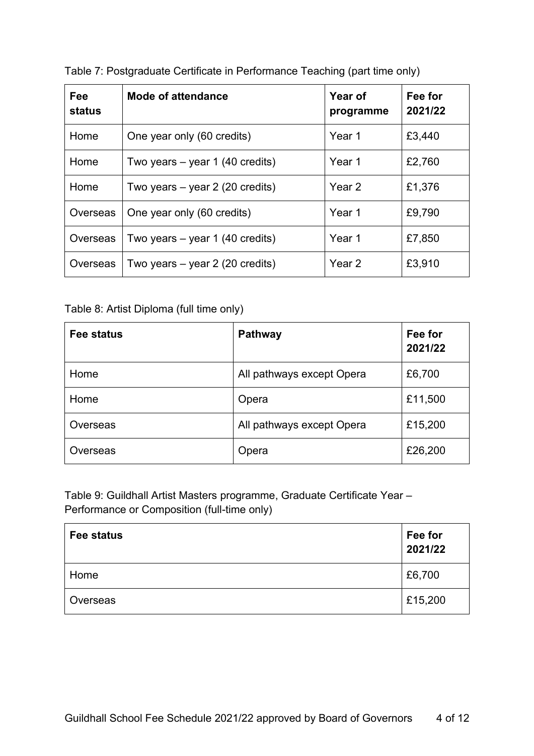| Fee<br><b>status</b> | <b>Mode of attendance</b>         | Year of<br>programme | Fee for<br>2021/22 |
|----------------------|-----------------------------------|----------------------|--------------------|
| Home                 | One year only (60 credits)        | Year 1               | £3,440             |
| Home                 | Two years $-$ year 1 (40 credits) | Year 1               | £2,760             |
| Home                 | Two years $-$ year 2 (20 credits) | Year 2               | £1,376             |
| Overseas             | One year only (60 credits)        | Year 1               | £9,790             |
| Overseas             | Two years $-$ year 1 (40 credits) | Year 1               | £7,850             |
| Overseas             | Two years $-$ year 2 (20 credits) | Year 2               | £3,910             |

Table 7: Postgraduate Certificate in Performance Teaching (part time only)

Table 8: Artist Diploma (full time only)

| Fee status | <b>Pathway</b>            | Fee for<br>2021/22 |
|------------|---------------------------|--------------------|
| Home       | All pathways except Opera | £6,700             |
| Home       | Opera                     | £11,500            |
| Overseas   | All pathways except Opera | £15,200            |
| Overseas   | Opera                     | £26,200            |

Table 9: Guildhall Artist Masters programme, Graduate Certificate Year – Performance or Composition (full-time only)

| Fee status | Fee for<br>2021/22 |
|------------|--------------------|
| Home       | £6,700             |
| Overseas   | £15,200            |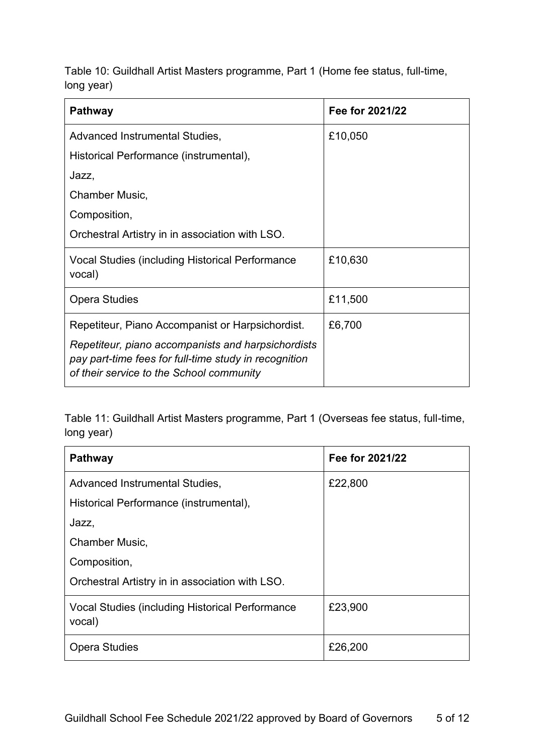Table 10: Guildhall Artist Masters programme, Part 1 (Home fee status, full-time, long year)

| <b>Pathway</b>                                                                                                                                                                                              | Fee for 2021/22 |
|-------------------------------------------------------------------------------------------------------------------------------------------------------------------------------------------------------------|-----------------|
| Advanced Instrumental Studies,                                                                                                                                                                              | £10,050         |
| Historical Performance (instrumental),                                                                                                                                                                      |                 |
| Jazz,                                                                                                                                                                                                       |                 |
| Chamber Music,                                                                                                                                                                                              |                 |
| Composition,                                                                                                                                                                                                |                 |
| Orchestral Artistry in in association with LSO.                                                                                                                                                             |                 |
| Vocal Studies (including Historical Performance<br>vocal)                                                                                                                                                   | £10,630         |
| <b>Opera Studies</b>                                                                                                                                                                                        | £11,500         |
| Repetiteur, Piano Accompanist or Harpsichordist.<br>Repetiteur, piano accompanists and harpsichordists<br>pay part-time fees for full-time study in recognition<br>of their service to the School community | £6,700          |

Table 11: Guildhall Artist Masters programme, Part 1 (Overseas fee status, full-time, long year)

| <b>Pathway</b>                                            | Fee for 2021/22 |
|-----------------------------------------------------------|-----------------|
| Advanced Instrumental Studies,                            | £22,800         |
| Historical Performance (instrumental),                    |                 |
| Jazz,                                                     |                 |
| Chamber Music,                                            |                 |
| Composition,                                              |                 |
| Orchestral Artistry in in association with LSO.           |                 |
| Vocal Studies (including Historical Performance<br>vocal) | £23,900         |
| <b>Opera Studies</b>                                      | £26,200         |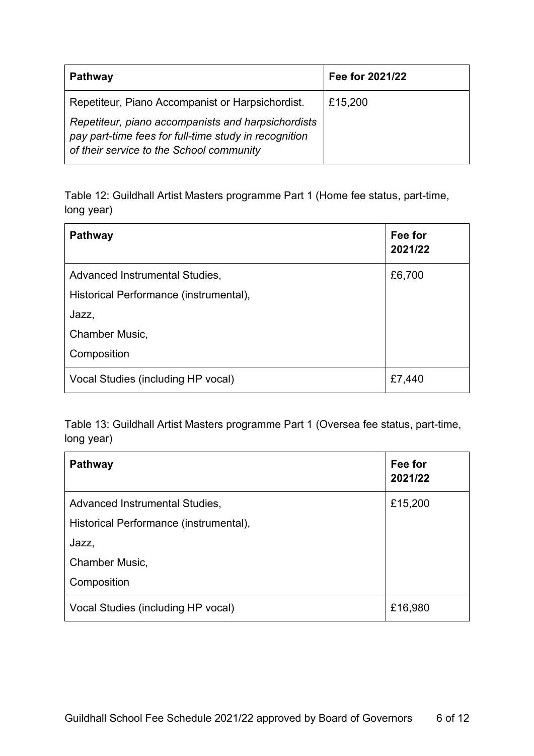| <b>Pathway</b>                                                                                                                                          | Fee for 2021/22 |
|---------------------------------------------------------------------------------------------------------------------------------------------------------|-----------------|
| Repetiteur, Piano Accompanist or Harpsichordist.                                                                                                        | £15,200         |
| Repetiteur, piano accompanists and harpsichordists<br>pay part-time fees for full-time study in recognition<br>of their service to the School community |                 |

Table 12: Guildhall Artist Masters programme Part 1 (Home fee status, part-time, long year)

| <b>Pathway</b>                         | Fee for<br>2021/22 |
|----------------------------------------|--------------------|
| Advanced Instrumental Studies,         | £6,700             |
| Historical Performance (instrumental), |                    |
| Jazz,                                  |                    |
| Chamber Music,                         |                    |
| Composition                            |                    |
| Vocal Studies (including HP vocal)     | £7,440             |

Table 13: Guildhall Artist Masters programme Part 1 (Oversea fee status, part-time, long year)

| <b>Pathway</b>                         | Fee for<br>2021/22 |
|----------------------------------------|--------------------|
| Advanced Instrumental Studies,         | £15,200            |
| Historical Performance (instrumental), |                    |
| Jazz,                                  |                    |
| Chamber Music,                         |                    |
| Composition                            |                    |
| Vocal Studies (including HP vocal)     | £16,980            |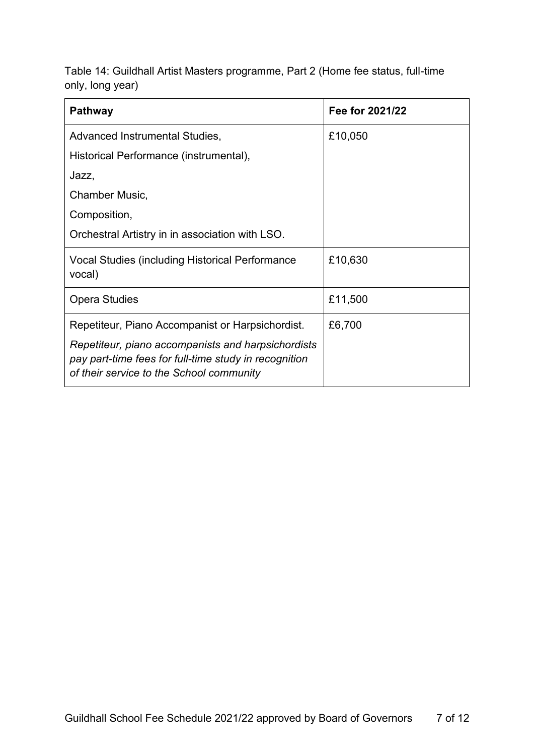Table 14: Guildhall Artist Masters programme, Part 2 (Home fee status, full-time only, long year)

| <b>Pathway</b>                                                                                                                                                                                              | Fee for 2021/22 |
|-------------------------------------------------------------------------------------------------------------------------------------------------------------------------------------------------------------|-----------------|
| Advanced Instrumental Studies,                                                                                                                                                                              | £10,050         |
| Historical Performance (instrumental),                                                                                                                                                                      |                 |
| Jazz,                                                                                                                                                                                                       |                 |
| Chamber Music,                                                                                                                                                                                              |                 |
| Composition,                                                                                                                                                                                                |                 |
| Orchestral Artistry in in association with LSO.                                                                                                                                                             |                 |
| Vocal Studies (including Historical Performance<br>vocal)                                                                                                                                                   | £10,630         |
| <b>Opera Studies</b>                                                                                                                                                                                        | £11,500         |
| Repetiteur, Piano Accompanist or Harpsichordist.<br>Repetiteur, piano accompanists and harpsichordists<br>pay part-time fees for full-time study in recognition<br>of their service to the School community | £6,700          |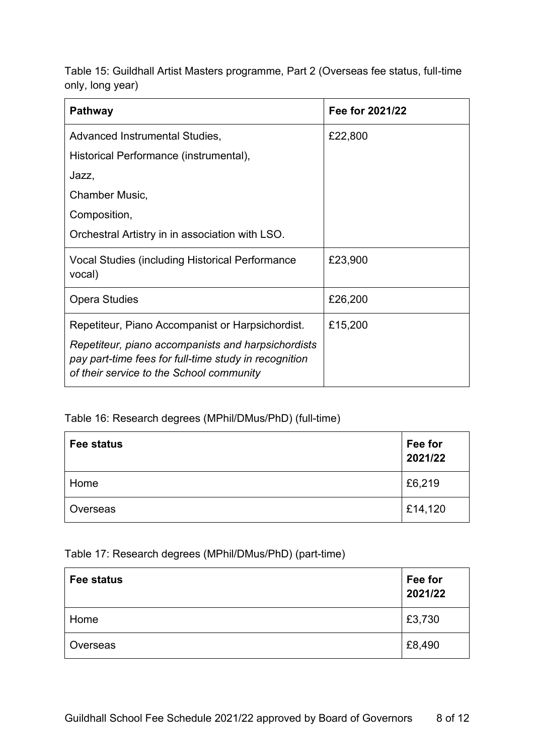Table 15: Guildhall Artist Masters programme, Part 2 (Overseas fee status, full-time only, long year)

| <b>Pathway</b>                                                                                                                                                                                              | Fee for 2021/22 |
|-------------------------------------------------------------------------------------------------------------------------------------------------------------------------------------------------------------|-----------------|
| Advanced Instrumental Studies,                                                                                                                                                                              | £22,800         |
| Historical Performance (instrumental),                                                                                                                                                                      |                 |
| Jazz,                                                                                                                                                                                                       |                 |
| Chamber Music,                                                                                                                                                                                              |                 |
| Composition,                                                                                                                                                                                                |                 |
| Orchestral Artistry in in association with LSO.                                                                                                                                                             |                 |
| Vocal Studies (including Historical Performance<br>vocal)                                                                                                                                                   | £23,900         |
| <b>Opera Studies</b>                                                                                                                                                                                        | £26,200         |
| Repetiteur, Piano Accompanist or Harpsichordist.<br>Repetiteur, piano accompanists and harpsichordists<br>pay part-time fees for full-time study in recognition<br>of their service to the School community | £15,200         |

#### Table 16: Research degrees (MPhil/DMus/PhD) (full-time)

| Fee status | Fee for<br>2021/22 |
|------------|--------------------|
| Home       | £6,219             |
| Overseas   | £14,120            |

#### Table 17: Research degrees (MPhil/DMus/PhD) (part-time)

| Fee status | Fee for<br>2021/22 |
|------------|--------------------|
| Home       | £3,730             |
| Overseas   | £8,490             |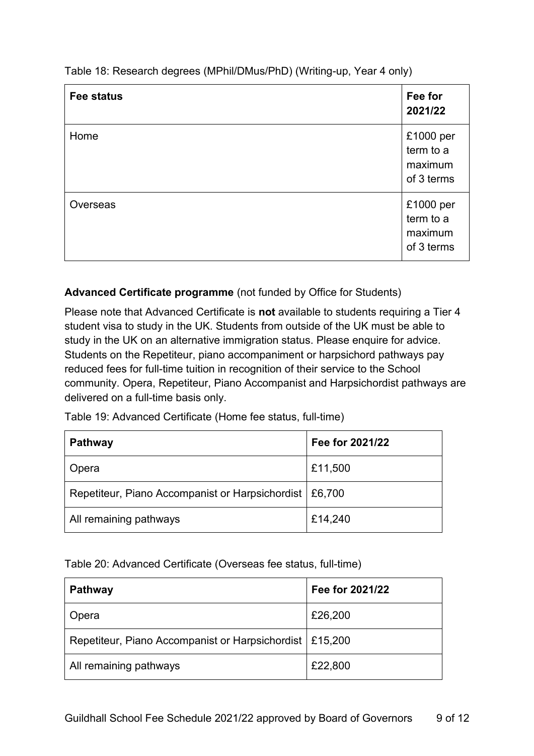| Table 18: Research degrees (MPhil/DMus/PhD) (Writing-up, Year 4 only) |  |
|-----------------------------------------------------------------------|--|
|-----------------------------------------------------------------------|--|

| <b>Fee status</b> | Fee for<br>2021/22                              |
|-------------------|-------------------------------------------------|
| Home              | £1000 per<br>term to a<br>maximum<br>of 3 terms |
| Overseas          | £1000 per<br>term to a<br>maximum<br>of 3 terms |

#### **Advanced Certificate programme** (not funded by Office for Students)

Please note that Advanced Certificate is **not** available to students requiring a Tier 4 student visa to study in the UK. Students from outside of the UK must be able to study in the UK on an alternative immigration status. Please enquire for advice. Students on the Repetiteur, piano accompaniment or harpsichord pathways pay reduced fees for full-time tuition in recognition of their service to the School community. Opera, Repetiteur, Piano Accompanist and Harpsichordist pathways are delivered on a full-time basis only.

Table 19: Advanced Certificate (Home fee status, full-time)

| <b>Pathway</b>                                           | Fee for 2021/22 |
|----------------------------------------------------------|-----------------|
| Opera                                                    | £11,500         |
| Repetiteur, Piano Accompanist or Harpsichordist   £6,700 |                 |
| All remaining pathways                                   | £14,240         |

Table 20: Advanced Certificate (Overseas fee status, full-time)

| <b>Pathway</b>                                            | Fee for 2021/22 |
|-----------------------------------------------------------|-----------------|
| Opera                                                     | £26,200         |
| Repetiteur, Piano Accompanist or Harpsichordist   £15,200 |                 |
| All remaining pathways                                    | £22,800         |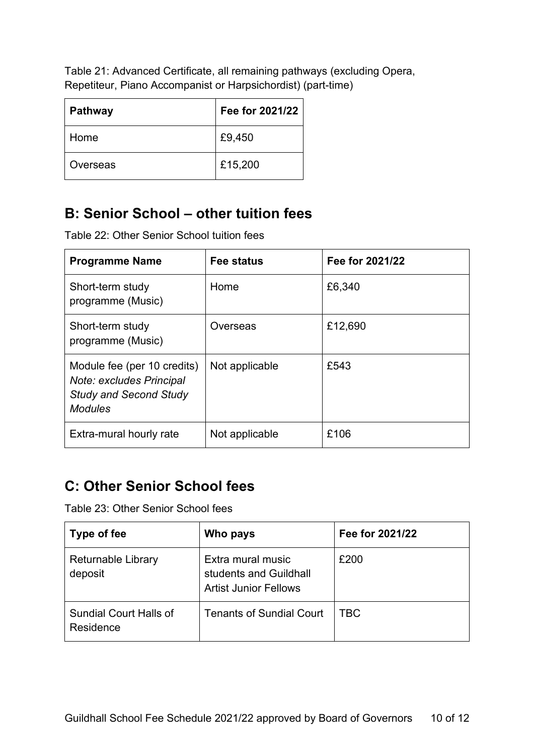Table 21: Advanced Certificate, all remaining pathways (excluding Opera, Repetiteur, Piano Accompanist or Harpsichordist) (part-time)

| <b>Pathway</b> | Fee for 2021/22 |
|----------------|-----------------|
| Home           | £9,450          |
| Overseas       | £15,200         |

## **B: Senior School – other tuition fees**

Table 22: Other Senior School tuition fees

| <b>Programme Name</b>                                                                                      | <b>Fee status</b> | Fee for 2021/22 |
|------------------------------------------------------------------------------------------------------------|-------------------|-----------------|
| Short-term study<br>programme (Music)                                                                      | Home              | £6,340          |
| Short-term study<br>programme (Music)                                                                      | Overseas          | £12,690         |
| Module fee (per 10 credits)<br>Note: excludes Principal<br><b>Study and Second Study</b><br><b>Modules</b> | Not applicable    | £543            |
| Extra-mural hourly rate                                                                                    | Not applicable    | £106            |

### **C: Other Senior School fees**

Table 23: Other Senior School fees

| Type of fee                                | Who pays                                                                    | Fee for 2021/22 |
|--------------------------------------------|-----------------------------------------------------------------------------|-----------------|
| <b>Returnable Library</b><br>deposit       | Extra mural music<br>students and Guildhall<br><b>Artist Junior Fellows</b> | £200            |
| <b>Sundial Court Halls of</b><br>Residence | <b>Tenants of Sundial Court</b>                                             | TBC             |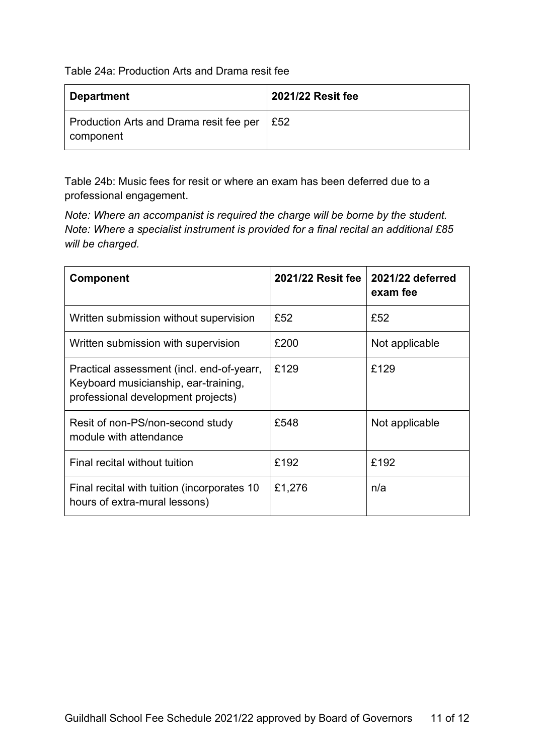Table 24a: Production Arts and Drama resit fee

| <b>Department</b>                                    | 2021/22 Resit fee |
|------------------------------------------------------|-------------------|
| Production Arts and Drama resit fee per<br>component | £52               |

Table 24b: Music fees for resit or where an exam has been deferred due to a professional engagement.

*Note: Where an accompanist is required the charge will be borne by the student. Note: Where a specialist instrument is provided for a final recital an additional £85 will be charged.*

| <b>Component</b>                                                                                                        | 2021/22 Resit fee | 2021/22 deferred<br>exam fee |
|-------------------------------------------------------------------------------------------------------------------------|-------------------|------------------------------|
| Written submission without supervision                                                                                  | £52               | £52                          |
| Written submission with supervision                                                                                     | £200              | Not applicable               |
| Practical assessment (incl. end-of-yearr,<br>Keyboard musicianship, ear-training,<br>professional development projects) | £129              | £129                         |
| Resit of non-PS/non-second study<br>module with attendance                                                              | £548              | Not applicable               |
| Final recital without tuition                                                                                           | £192              | £192                         |
| Final recital with tuition (incorporates 10<br>hours of extra-mural lessons)                                            | £1,276            | n/a                          |